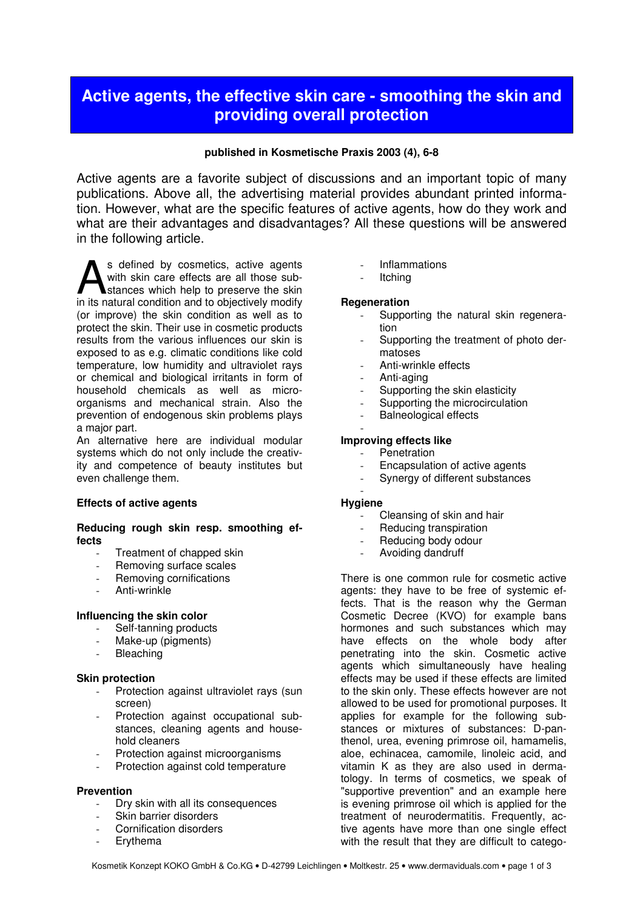# **Active agents, the effective skin care - smoothing the skin and providing overall protection**

# published in Kosmetische Praxis 2003 (4), 6-8

Active agents are a favorite subject of discussions and an important topic of many publications. Above all, the advertising material provides abundant printed information. However, what are the specific features of active agents, how do they work and what are their advantages and disadvantages? All these questions will be answered in the following article.

s defined by cosmetics, active agents with skin care effects are all those substances which help to preserve the skin s defined by cosmetics, active agents<br>with skin care effects are all those sub-<br>stances which help to preserve the skin<br>in its natural condition and to objectively modify (or improve) the skin condition as well as to protect the skin. Their use in cosmetic products results from the various influences our skin is exposed to as e.g. climatic conditions like cold temperature, low humidity and ultraviolet rays or chemical and biological irritants in form of household chemicals as well as microorganisms and mechanical strain. Also the prevention of endogenous skin problems plays a major part.

An alternative here are individual modular systems which do not only include the creativity and competence of beauty institutes but even challenge them.

# Effects of active agents

# Reducing rough skin resp. smoothing effects

- Treatment of chapped skin
- Removing surface scales
- Removing cornifications
- Anti-wrinkle

# Influencing the skin color

- Self-tanning products
- Make-up (pigments)
- **Bleaching**

# Skin protection

- Protection against ultraviolet rays (sun screen)
- Protection against occupational substances, cleaning agents and household cleaners
- Protection against microorganisms
- Protection against cold temperature

# Prevention

- Dry skin with all its consequences
- Skin barrier disorders
- Cornification disorders
- **Erythema**
- **Inflammations**
- **Itching**

#### **Regeneration**

- Supporting the natural skin regeneration
- Supporting the treatment of photo dermatoses
- Anti-wrinkle effects
- Anti-aging
- Supporting the skin elasticity
- Supporting the microcirculation
- Balneological effects -

# Improving effects like

- **Penetration**
- Encapsulation of active agents
- Synergy of different substances -

# **Hygiene**

- Cleansing of skin and hair
- Reducing transpiration
- Reducing body odour
- Avoiding dandruff

There is one common rule for cosmetic active agents: they have to be free of systemic effects. That is the reason why the German Cosmetic Decree (KVO) for example bans hormones and such substances which may have effects on the whole body after penetrating into the skin. Cosmetic active agents which simultaneously have healing effects may be used if these effects are limited to the skin only. These effects however are not allowed to be used for promotional purposes. It applies for example for the following substances or mixtures of substances: D-panthenol, urea, evening primrose oil, hamamelis, aloe, echinacea, camomile, linoleic acid, and vitamin K as they are also used in dermatology. In terms of cosmetics, we speak of "supportive prevention" and an example here is evening primrose oil which is applied for the treatment of neurodermatitis. Frequently, active agents have more than one single effect with the result that they are difficult to catego-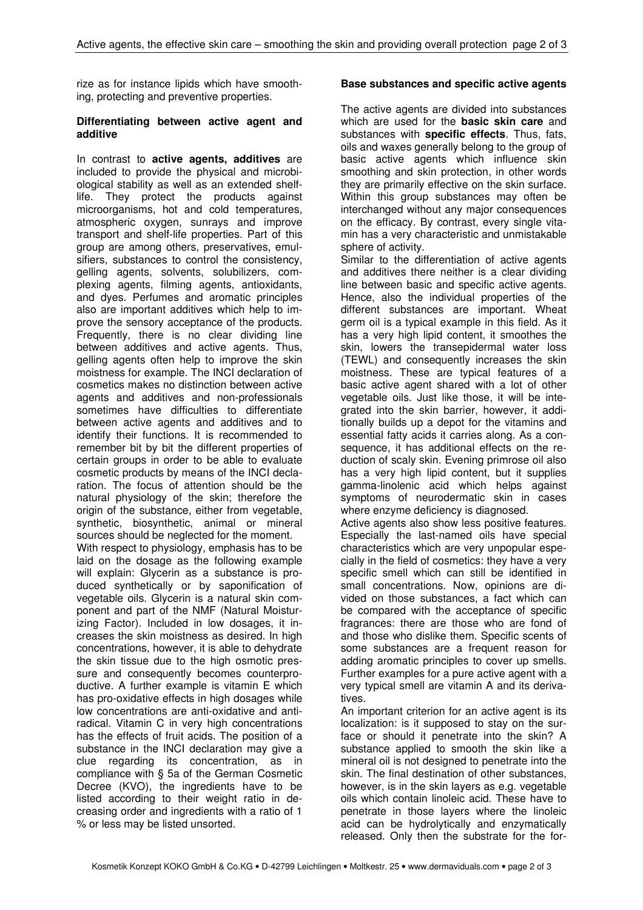rize as for instance lipids which have smoothing, protecting and preventive properties.

# Differentiating between active agent and additive

In contrast to active agents, additives are included to provide the physical and microbiological stability as well as an extended shelflife. They protect the products against microorganisms, hot and cold temperatures, atmospheric oxygen, sunrays and improve transport and shelf-life properties. Part of this group are among others, preservatives, emulsifiers, substances to control the consistency, gelling agents, solvents, solubilizers, complexing agents, filming agents, antioxidants, and dyes. Perfumes and aromatic principles also are important additives which help to improve the sensory acceptance of the products. Frequently, there is no clear dividing line between additives and active agents. Thus, gelling agents often help to improve the skin moistness for example. The INCI declaration of cosmetics makes no distinction between active agents and additives and non-professionals sometimes have difficulties to differentiate between active agents and additives and to identify their functions. It is recommended to remember bit by bit the different properties of certain groups in order to be able to evaluate cosmetic products by means of the INCI declaration. The focus of attention should be the natural physiology of the skin; therefore the origin of the substance, either from vegetable, synthetic, biosynthetic, animal or mineral sources should be neglected for the moment.

With respect to physiology, emphasis has to be laid on the dosage as the following example will explain: Glycerin as a substance is produced synthetically or by saponification of vegetable oils. Glycerin is a natural skin component and part of the NMF (Natural Moisturizing Factor). Included in low dosages, it increases the skin moistness as desired. In high concentrations, however, it is able to dehydrate the skin tissue due to the high osmotic pressure and consequently becomes counterproductive. A further example is vitamin E which has pro-oxidative effects in high dosages while low concentrations are anti-oxidative and antiradical. Vitamin C in very high concentrations has the effects of fruit acids. The position of a substance in the INCI declaration may give a clue regarding its concentration, as in compliance with § 5a of the German Cosmetic Decree (KVO), the ingredients have to be listed according to their weight ratio in decreasing order and ingredients with a ratio of 1 % or less may be listed unsorted.

# Base substances and specific active agents

The active agents are divided into substances which are used for the **basic skin care** and substances with specific effects. Thus, fats, oils and waxes generally belong to the group of basic active agents which influence skin smoothing and skin protection, in other words they are primarily effective on the skin surface. Within this group substances may often be interchanged without any major consequences on the efficacy. By contrast, every single vitamin has a very characteristic and unmistakable sphere of activity.

Similar to the differentiation of active agents and additives there neither is a clear dividing line between basic and specific active agents. Hence, also the individual properties of the different substances are important. Wheat germ oil is a typical example in this field. As it has a very high lipid content, it smoothes the skin, lowers the transepidermal water loss (TEWL) and consequently increases the skin moistness. These are typical features of a basic active agent shared with a lot of other vegetable oils. Just like those, it will be integrated into the skin barrier, however, it additionally builds up a depot for the vitamins and essential fatty acids it carries along. As a consequence, it has additional effects on the reduction of scaly skin. Evening primrose oil also has a very high lipid content, but it supplies gamma-linolenic acid which helps against symptoms of neurodermatic skin in cases where enzyme deficiency is diagnosed.

Active agents also show less positive features. Especially the last-named oils have special characteristics which are very unpopular especially in the field of cosmetics: they have a very specific smell which can still be identified in small concentrations. Now, opinions are divided on those substances, a fact which can be compared with the acceptance of specific fragrances: there are those who are fond of and those who dislike them. Specific scents of some substances are a frequent reason for adding aromatic principles to cover up smells. Further examples for a pure active agent with a very typical smell are vitamin A and its derivatives.

An important criterion for an active agent is its localization: is it supposed to stay on the surface or should it penetrate into the skin? A substance applied to smooth the skin like a mineral oil is not designed to penetrate into the skin. The final destination of other substances, however, is in the skin layers as e.g. vegetable oils which contain linoleic acid. These have to penetrate in those layers where the linoleic acid can be hydrolytically and enzymatically released. Only then the substrate for the for